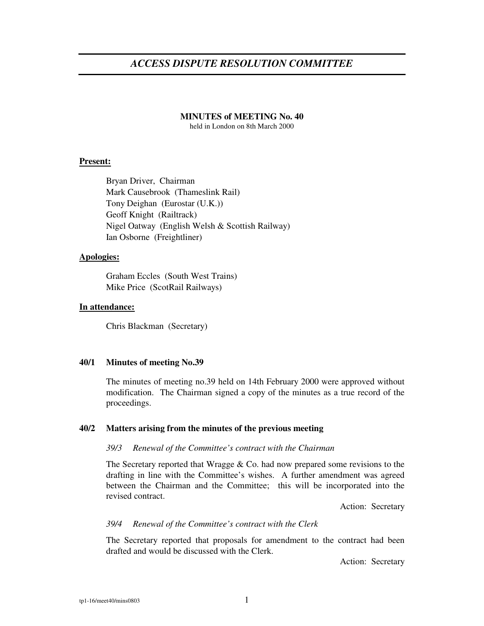# *ACCESS DISPUTE RESOLUTION COMMITTEE*

# **MINUTES of MEETING No. 40**

held in London on 8th March 2000

### **Present:**

Bryan Driver, Chairman Mark Causebrook (Thameslink Rail) Tony Deighan (Eurostar (U.K.)) Geoff Knight (Railtrack) Nigel Oatway (English Welsh & Scottish Railway) Ian Osborne (Freightliner)

# **Apologies:**

Graham Eccles (South West Trains) Mike Price (ScotRail Railways)

### **In attendance:**

Chris Blackman (Secretary)

# **40/1 Minutes of meeting No.39**

The minutes of meeting no.39 held on 14th February 2000 were approved without modification. The Chairman signed a copy of the minutes as a true record of the proceedings.

### **40/2 Matters arising from the minutes of the previous meeting**

### *39/3 Renewal of the Committee's contract with the Chairman*

The Secretary reported that Wragge  $& Co.$  had now prepared some revisions to the drafting in line with the Committee's wishes. A further amendment was agreed between the Chairman and the Committee; this will be incorporated into the revised contract.

Action: Secretary

### *39/4 Renewal of the Committee's contract with the Clerk*

The Secretary reported that proposals for amendment to the contract had been drafted and would be discussed with the Clerk.

Action: Secretary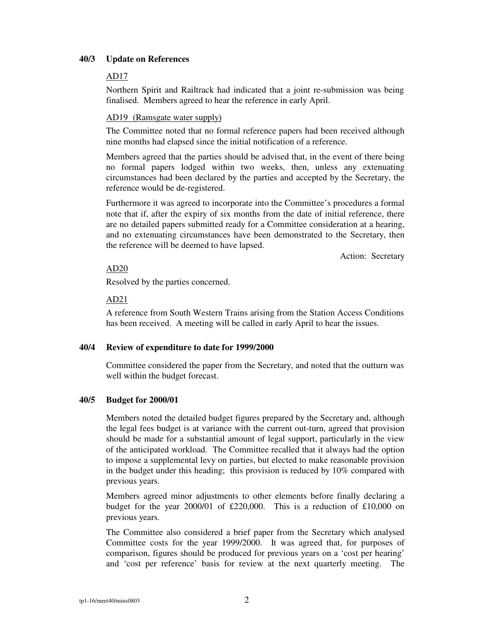# **40/3 Update on References**

# AD17

Northern Spirit and Railtrack had indicated that a joint re-submission was being finalised. Members agreed to hear the reference in early April.

# AD19 (Ramsgate water supply)

The Committee noted that no formal reference papers had been received although nine months had elapsed since the initial notification of a reference.

Members agreed that the parties should be advised that, in the event of there being no formal papers lodged within two weeks, then, unless any extenuating circumstances had been declared by the parties and accepted by the Secretary, the reference would be de-registered.

Furthermore it was agreed to incorporate into the Committee's procedures a formal note that if, after the expiry of six months from the date of initial reference, there are no detailed papers submitted ready for a Committee consideration at a hearing, and no extenuating circumstances have been demonstrated to the Secretary, then the reference will be deemed to have lapsed.

Action: Secretary

# AD20

Resolved by the parties concerned.

### AD21

A reference from South Western Trains arising from the Station Access Conditions has been received. A meeting will be called in early April to hear the issues.

# **40/4 Review of expenditure to date for 1999/2000**

Committee considered the paper from the Secretary, and noted that the outturn was well within the budget forecast.

# **40/5 Budget for 2000/01**

Members noted the detailed budget figures prepared by the Secretary and, although the legal fees budget is at variance with the current out-turn, agreed that provision should be made for a substantial amount of legal support, particularly in the view of the anticipated workload. The Committee recalled that it always had the option to impose a supplemental levy on parties, but elected to make reasonable provision in the budget under this heading; this provision is reduced by 10% compared with previous years.

Members agreed minor adjustments to other elements before finally declaring a budget for the year 2000/01 of £220,000. This is a reduction of £10,000 on previous years.

The Committee also considered a brief paper from the Secretary which analysed Committee costs for the year 1999/2000. It was agreed that, for purposes of comparison, figures should be produced for previous years on a 'cost per hearing' and 'cost per reference' basis for review at the next quarterly meeting. The